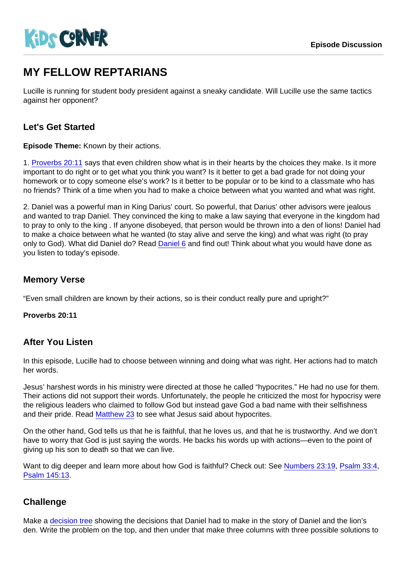# MY FELLOW REPTARIANS

Lucille is running for student body president against a sneaky candidate. Will Lucille use the same tactics against her opponent?

## Let's Get Started

Episode Theme: Known by their actions.

1. [Proverbs 20:11](https://www.biblegateway.com/passage/?search=Proverbs+20:11) says that even children show what is in their hearts by the choices they make. Is it more important to do right or to get what you think you want? Is it better to get a bad grade for not doing your homework or to copy someone else's work? Is it better to be popular or to be kind to a classmate who has no friends? Think of a time when you had to make a choice between what you wanted and what was right.

2. Daniel was a powerful man in King Darius' court. So powerful, that Darius' other advisors were jealous and wanted to trap Daniel. They convinced the king to make a law saying that everyone in the kingdom had to pray to only to the king . If anyone disobeyed, that person would be thrown into a den of lions! Daniel had to make a choice between what he wanted (to stay alive and serve the king) and what was right (to pray only to God). What did Daniel do? Read [Daniel 6](https://www.biblegateway.com/passage/?search=Daniel+6) and find out! Think about what you would have done as you listen to today's episode.

### Memory Verse

"Even small children are known by their actions, so is their conduct really pure and upright?"

Proverbs 20:11

#### After You Listen

In this episode, Lucille had to choose between winning and doing what was right. Her actions had to match her words.

Jesus' harshest words in his ministry were directed at those he called "hypocrites." He had no use for them. Their actions did not support their words. Unfortunately, the people he criticized the most for hypocrisy were the religious leaders who claimed to follow God but instead gave God a bad name with their selfishness and their pride. Read [Matthew 23](https://www.biblegateway.com/passage/?search=Matthew+23) to see what Jesus said about hypocrites.

On the other hand, God tells us that he is faithful, that he loves us, and that he is trustworthy. And we don't have to worry that God is just saying the words. He backs his words up with actions—even to the point of giving up his son to death so that we can live.

Want to dig deeper and learn more about how God is faithful? Check out: See [Numbers 23:19,](https://www.biblegateway.com/passage/?search=Numbers+23:19) [Psalm 33:4,](https://www.biblegateway.com/passage/?search=Psalm+33:4) [Psalm 145:13](https://www.biblegateway.com/passage/?search=Psalm+145:13).

#### **Challenge**

Make a [decision tree](https://drive.google.com/file/d/0B6gdXE_qqCOTMkVRLU9zc0pEbjg/view?usp=sharing) showing the decisions that Daniel had to make in the story of Daniel and the lion's den. Write the problem on the top, and then under that make three columns with three possible solutions to